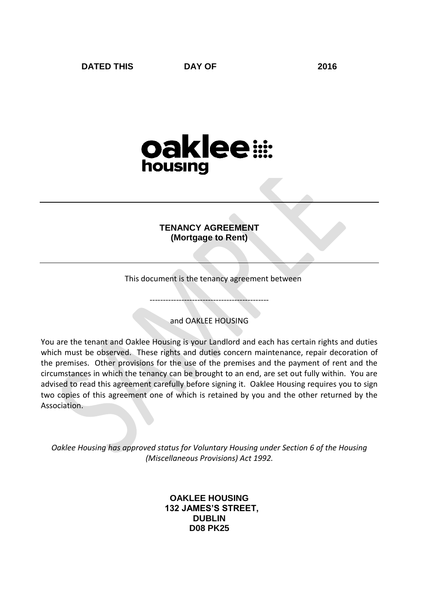# oaklee: housing

# **TENANCY AGREEMENT (Mortgage to Rent)**

This document is the tenancy agreement between

and OAKLEE HOUSING

---------------------------------------------

You are the tenant and Oaklee Housing is your Landlord and each has certain rights and duties which must be observed. These rights and duties concern maintenance, repair decoration of the premises. Other provisions for the use of the premises and the payment of rent and the circumstances in which the tenancy can be brought to an end, are set out fully within. You are advised to read this agreement carefully before signing it. Oaklee Housing requires you to sign two copies of this agreement one of which is retained by you and the other returned by the Association.

*Oaklee Housing has approved status for Voluntary Housing under Section 6 of the Housing (Miscellaneous Provisions) Act 1992.*

> **OAKLEE HOUSING 132 JAMES'S STREET, DUBLIN D08 PK25**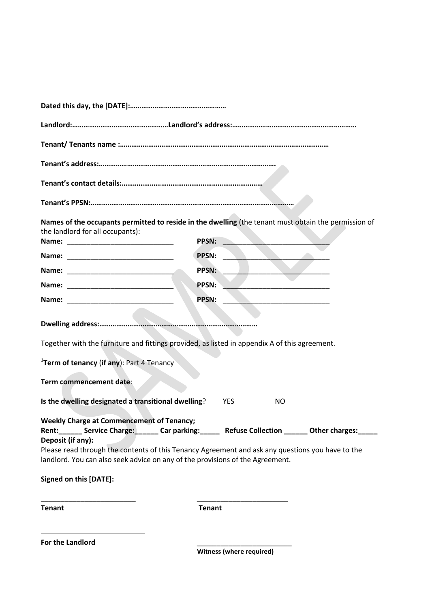| Names of the occupants permitted to reside in the dwelling (the tenant must obtain the permission of<br>the landlord for all occupants):                                                                                                                                                                            |               |                                 |     |  |
|---------------------------------------------------------------------------------------------------------------------------------------------------------------------------------------------------------------------------------------------------------------------------------------------------------------------|---------------|---------------------------------|-----|--|
|                                                                                                                                                                                                                                                                                                                     | <b>PPSN:</b>  |                                 |     |  |
| Name:                                                                                                                                                                                                                                                                                                               | PPSN:         |                                 |     |  |
|                                                                                                                                                                                                                                                                                                                     | <b>PPSN:</b>  |                                 |     |  |
|                                                                                                                                                                                                                                                                                                                     | PPSN:         |                                 |     |  |
| Name:                                                                                                                                                                                                                                                                                                               | <b>PPSN:</b>  |                                 |     |  |
| Together with the furniture and fittings provided, as listed in appendix A of this agreement.<br>$1$ Term of tenancy (if any): Part 4 Tenancy<br>Term commencement date:<br>Is the dwelling designated a transitional dwelling?                                                                                     | <b>YES</b>    |                                 | NO. |  |
| <b>Weekly Charge at Commencement of Tenancy;</b>                                                                                                                                                                                                                                                                    |               |                                 |     |  |
| Rent: _______ Service Charge: _______ Car parking: _______ Refuse Collection _______ Other charges: _____<br>Deposit (if any):<br>Please read through the contents of this Tenancy Agreement and ask any questions you have to the<br>landlord. You can also seek advice on any of the provisions of the Agreement. |               |                                 |     |  |
| Signed on this [DATE]:                                                                                                                                                                                                                                                                                              |               |                                 |     |  |
| <b>Tenant</b>                                                                                                                                                                                                                                                                                                       | <b>Tenant</b> |                                 |     |  |
| For the Landlord                                                                                                                                                                                                                                                                                                    |               | <b>Witness (where required)</b> |     |  |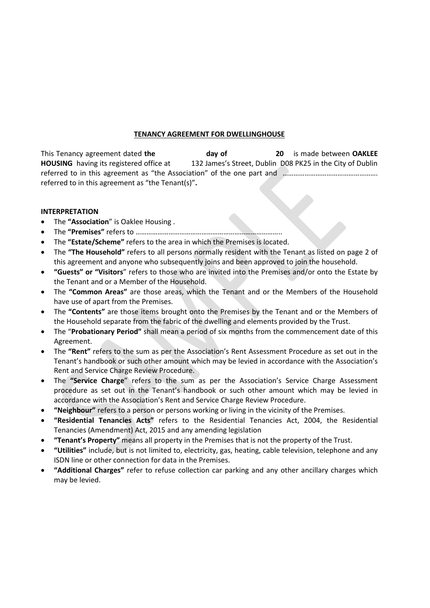#### **TENANCY AGREEMENT FOR DWELLINGHOUSE**

This Tenancy agreement dated **the day of 20** is made between **OAKLEE HOUSING** having its registered office at 132 James's Street, Dublin D08 PK25 in the City of Dublin referred to in this agreement as "the Association" of the one part and …………………………………………………………………………… referred to in this agreement as "the Tenant(s)"**.** 

#### **INTERPRETATION**

- The **"Association**" is Oaklee Housing .
- The **"Premises"** refers to ……………………………………………………………………..
- The **"Estate/Scheme"** refers to the area in which the Premises is located.
- The **"The Household"** refers to all persons normally resident with the Tenant as listed on page 2 of this agreement and anyone who subsequently joins and been approved to join the household.
- **"Guests" or "Visitors**" refers to those who are invited into the Premises and/or onto the Estate by the Tenant and or a Member of the Household.
- The **"Common Areas"** are those areas, which the Tenant and or the Members of the Household have use of apart from the Premises.
- The **"Contents"** are those items brought onto the Premises by the Tenant and or the Members of the Household separate from the fabric of the dwelling and elements provided by the Trust.
- The "**Probationary Period"** shall mean a period of six months from the commencement date of this Agreement.
- The **"Rent"** refers to the sum as per the Association's Rent Assessment Procedure as set out in the Tenant's handbook or such other amount which may be levied in accordance with the Association's Rent and Service Charge Review Procedure.
- The **"Service Charge**" refers to the sum as per the Association's Service Charge Assessment procedure as set out in the Tenant's handbook or such other amount which may be levied in accordance with the Association's Rent and Service Charge Review Procedure.
- **"Neighbour"** refers to a person or persons working or living in the vicinity of the Premises.
- **"Residential Tenancies Acts"** refers to the Residential Tenancies Act, 2004, the Residential Tenancies (Amendment) Act, 2015 and any amending legislation
- **"Tenant's Property"** means all property in the Premises that is not the property of the Trust.
- **"Utilities"** include, but is not limited to, electricity, gas, heating, cable television, telephone and any ISDN line or other connection for data in the Premises.
- **"Additional Charges"** refer to refuse collection car parking and any other ancillary charges which may be levied.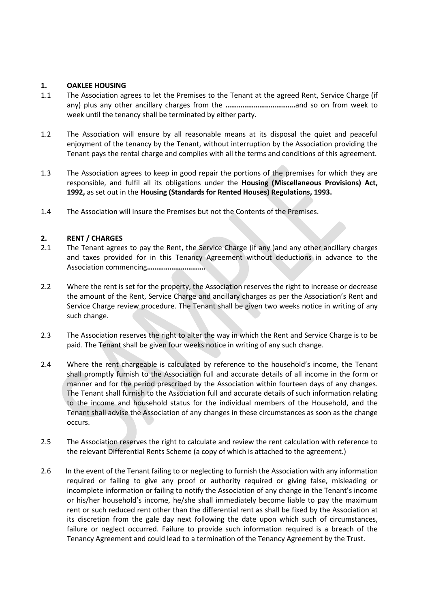## **1. OAKLEE HOUSING**

- 1.1 The Association agrees to let the Premises to the Tenant at the agreed Rent, Service Charge (if any) plus any other ancillary charges from the **……………………………….**and so on from week to week until the tenancy shall be terminated by either party.
- 1.2 The Association will ensure by all reasonable means at its disposal the quiet and peaceful enjoyment of the tenancy by the Tenant, without interruption by the Association providing the Tenant pays the rental charge and complies with all the terms and conditions of this agreement.
- 1.3 The Association agrees to keep in good repair the portions of the premises for which they are responsible, and fulfil all its obligations under the **Housing (Miscellaneous Provisions) Act, 1992,** as set out in the **Housing (Standards for Rented Houses) Regulations, 1993.**
- 1.4 The Association will insure the Premises but not the Contents of the Premises.

## **2. RENT / CHARGES**

- 2.1 The Tenant agrees to pay the Rent, the Service Charge (if any )and any other ancillary charges and taxes provided for in this Tenancy Agreement without deductions in advance to the Association commencing**………………………….**
- 2.2 Where the rent is set for the property, the Association reserves the right to increase or decrease the amount of the Rent, Service Charge and ancillary charges as per the Association's Rent and Service Charge review procedure. The Tenant shall be given two weeks notice in writing of any such change.
- 2.3 The Association reserves the right to alter the way in which the Rent and Service Charge is to be paid. The Tenant shall be given four weeks notice in writing of any such change.
- 2.4 Where the rent chargeable is calculated by reference to the household's income, the Tenant shall promptly furnish to the Association full and accurate details of all income in the form or manner and for the period prescribed by the Association within fourteen days of any changes. The Tenant shall furnish to the Association full and accurate details of such information relating to the income and household status for the individual members of the Household, and the Tenant shall advise the Association of any changes in these circumstances as soon as the change occurs.
- 2.5 The Association reserves the right to calculate and review the rent calculation with reference to the relevant Differential Rents Scheme (a copy of which is attached to the agreement.)
- 2.6 In the event of the Tenant failing to or neglecting to furnish the Association with any information required or failing to give any proof or authority required or giving false, misleading or incomplete information or failing to notify the Association of any change in the Tenant's income or his/her household's income, he/she shall immediately become liable to pay the maximum rent or such reduced rent other than the differential rent as shall be fixed by the Association at its discretion from the gale day next following the date upon which such of circumstances, failure or neglect occurred. Failure to provide such information required is a breach of the Tenancy Agreement and could lead to a termination of the Tenancy Agreement by the Trust.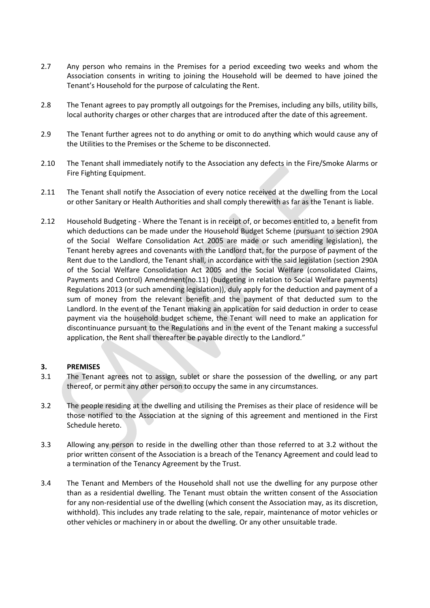- 2.7 Any person who remains in the Premises for a period exceeding two weeks and whom the Association consents in writing to joining the Household will be deemed to have joined the Tenant's Household for the purpose of calculating the Rent.
- 2.8 The Tenant agrees to pay promptly all outgoings for the Premises, including any bills, utility bills, local authority charges or other charges that are introduced after the date of this agreement.
- 2.9 The Tenant further agrees not to do anything or omit to do anything which would cause any of the Utilities to the Premises or the Scheme to be disconnected.
- 2.10 The Tenant shall immediately notify to the Association any defects in the Fire/Smoke Alarms or Fire Fighting Equipment.
- 2.11 The Tenant shall notify the Association of every notice received at the dwelling from the Local or other Sanitary or Health Authorities and shall comply therewith as far as the Tenant is liable.
- 2.12 Household Budgeting Where the Tenant is in receipt of, or becomes entitled to, a benefit from which deductions can be made under the Household Budget Scheme (pursuant to section 290A of the Social Welfare Consolidation Act 2005 are made or such amending legislation), the Tenant hereby agrees and covenants with the Landlord that, for the purpose of payment of the Rent due to the Landlord, the Tenant shall, in accordance with the said legislation (section 290A of the Social Welfare Consolidation Act 2005 and the Social Welfare (consolidated Claims, Payments and Control) Amendment(no.11) (budgeting in relation to Social Welfare payments) Regulations 2013 (or such amending legislation)), duly apply for the deduction and payment of a sum of money from the relevant benefit and the payment of that deducted sum to the Landlord. In the event of the Tenant making an application for said deduction in order to cease payment via the household budget scheme, the Tenant will need to make an application for discontinuance pursuant to the Regulations and in the event of the Tenant making a successful application, the Rent shall thereafter be payable directly to the Landlord."

#### **3. PREMISES**

- 3.1 The Tenant agrees not to assign, sublet or share the possession of the dwelling, or any part thereof, or permit any other person to occupy the same in any circumstances.
- 3.2 The people residing at the dwelling and utilising the Premises as their place of residence will be those notified to the Association at the signing of this agreement and mentioned in the First Schedule hereto.
- 3.3 Allowing any person to reside in the dwelling other than those referred to at 3.2 without the prior written consent of the Association is a breach of the Tenancy Agreement and could lead to a termination of the Tenancy Agreement by the Trust.
- 3.4 The Tenant and Members of the Household shall not use the dwelling for any purpose other than as a residential dwelling. The Tenant must obtain the written consent of the Association for any non-residential use of the dwelling (which consent the Association may, as its discretion, withhold). This includes any trade relating to the sale, repair, maintenance of motor vehicles or other vehicles or machinery in or about the dwelling. Or any other unsuitable trade.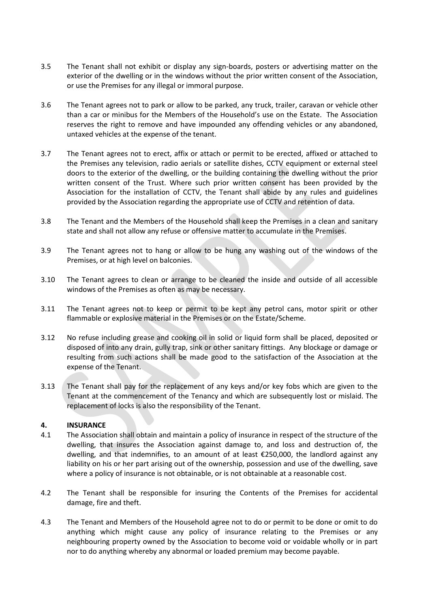- 3.5 The Tenant shall not exhibit or display any sign-boards, posters or advertising matter on the exterior of the dwelling or in the windows without the prior written consent of the Association, or use the Premises for any illegal or immoral purpose.
- 3.6 The Tenant agrees not to park or allow to be parked, any truck, trailer, caravan or vehicle other than a car or minibus for the Members of the Household's use on the Estate. The Association reserves the right to remove and have impounded any offending vehicles or any abandoned, untaxed vehicles at the expense of the tenant.
- 3.7 The Tenant agrees not to erect, affix or attach or permit to be erected, affixed or attached to the Premises any television, radio aerials or satellite dishes, CCTV equipment or external steel doors to the exterior of the dwelling, or the building containing the dwelling without the prior written consent of the Trust. Where such prior written consent has been provided by the Association for the installation of CCTV, the Tenant shall abide by any rules and guidelines provided by the Association regarding the appropriate use of CCTV and retention of data.
- 3.8 The Tenant and the Members of the Household shall keep the Premises in a clean and sanitary state and shall not allow any refuse or offensive matter to accumulate in the Premises.
- 3.9 The Tenant agrees not to hang or allow to be hung any washing out of the windows of the Premises, or at high level on balconies.
- 3.10 The Tenant agrees to clean or arrange to be cleaned the inside and outside of all accessible windows of the Premises as often as may be necessary.
- 3.11 The Tenant agrees not to keep or permit to be kept any petrol cans, motor spirit or other flammable or explosive material in the Premises or on the Estate/Scheme.
- 3.12 No refuse including grease and cooking oil in solid or liquid form shall be placed, deposited or disposed of into any drain, gully trap, sink or other sanitary fittings. Any blockage or damage or resulting from such actions shall be made good to the satisfaction of the Association at the expense of the Tenant.
- 3.13 The Tenant shall pay for the replacement of any keys and/or key fobs which are given to the Tenant at the commencement of the Tenancy and which are subsequently lost or mislaid. The replacement of locks is also the responsibility of the Tenant.

#### **4. INSURANCE**

- 4.1 The Association shall obtain and maintain a policy of insurance in respect of the structure of the dwelling, that insures the Association against damage to, and loss and destruction of, the dwelling, and that indemnifies, to an amount of at least €250,000, the landlord against any liability on his or her part arising out of the ownership, possession and use of the dwelling, save where a policy of insurance is not obtainable, or is not obtainable at a reasonable cost.
- 4.2 The Tenant shall be responsible for insuring the Contents of the Premises for accidental damage, fire and theft.
- 4.3 The Tenant and Members of the Household agree not to do or permit to be done or omit to do anything which might cause any policy of insurance relating to the Premises or any neighbouring property owned by the Association to become void or voidable wholly or in part nor to do anything whereby any abnormal or loaded premium may become payable.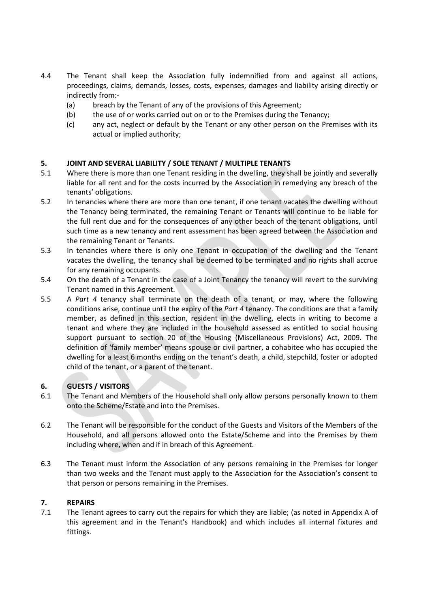- 4.4 The Tenant shall keep the Association fully indemnified from and against all actions, proceedings, claims, demands, losses, costs, expenses, damages and liability arising directly or indirectly from:-
	- (a) breach by the Tenant of any of the provisions of this Agreement;
	- (b) the use of or works carried out on or to the Premises during the Tenancy;
	- (c) any act, neglect or default by the Tenant or any other person on the Premises with its actual or implied authority;

## **5. JOINT AND SEVERAL LIABILITY / SOLE TENANT / MULTIPLE TENANTS**

- 5.1 Where there is more than one Tenant residing in the dwelling, they shall be jointly and severally liable for all rent and for the costs incurred by the Association in remedying any breach of the tenants' obligations.
- 5.2 In tenancies where there are more than one tenant, if one tenant vacates the dwelling without the Tenancy being terminated, the remaining Tenant or Tenants will continue to be liable for the full rent due and for the consequences of any other beach of the tenant obligations, until such time as a new tenancy and rent assessment has been agreed between the Association and the remaining Tenant or Tenants.
- 5.3 In tenancies where there is only one Tenant in occupation of the dwelling and the Tenant vacates the dwelling, the tenancy shall be deemed to be terminated and no rights shall accrue for any remaining occupants.
- 5.4 On the death of a Tenant in the case of a Joint Tenancy the tenancy will revert to the surviving Tenant named in this Agreement.
- 5.5 A *Part 4* tenancy shall terminate on the death of a tenant, or may, where the following conditions arise, continue until the expiry of the *Part 4* tenancy. The conditions are that a family member, as defined in this section, resident in the dwelling, elects in writing to become a tenant and where they are included in the household assessed as entitled to social housing support pursuant to section 20 of the Housing (Miscellaneous Provisions) Act, 2009. The definition of 'family member' means spouse or civil partner, a cohabitee who has occupied the dwelling for a least 6 months ending on the tenant's death, a child, stepchild, foster or adopted child of the tenant, or a parent of the tenant.

## **6. GUESTS / VISITORS**

- 6.1 The Tenant and Members of the Household shall only allow persons personally known to them onto the Scheme/Estate and into the Premises.
- 6.2 The Tenant will be responsible for the conduct of the Guests and Visitors of the Members of the Household, and all persons allowed onto the Estate/Scheme and into the Premises by them including where, when and if in breach of this Agreement.
- 6.3 The Tenant must inform the Association of any persons remaining in the Premises for longer than two weeks and the Tenant must apply to the Association for the Association's consent to that person or persons remaining in the Premises.

#### **7. REPAIRS**

7.1 The Tenant agrees to carry out the repairs for which they are liable; (as noted in Appendix A of this agreement and in the Tenant's Handbook) and which includes all internal fixtures and fittings.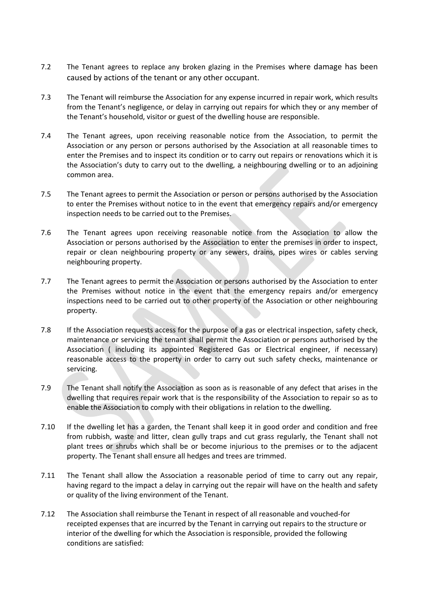- 7.2 The Tenant agrees to replace any broken glazing in the Premises where damage has been caused by actions of the tenant or any other occupant.
- 7.3 The Tenant will reimburse the Association for any expense incurred in repair work, which results from the Tenant's negligence, or delay in carrying out repairs for which they or any member of the Tenant's household, visitor or guest of the dwelling house are responsible.
- 7.4 The Tenant agrees, upon receiving reasonable notice from the Association, to permit the Association or any person or persons authorised by the Association at all reasonable times to enter the Premises and to inspect its condition or to carry out repairs or renovations which it is the Association's duty to carry out to the dwelling, a neighbouring dwelling or to an adjoining common area.
- 7.5 The Tenant agrees to permit the Association or person or persons authorised by the Association to enter the Premises without notice to in the event that emergency repairs and/or emergency inspection needs to be carried out to the Premises.
- 7.6 The Tenant agrees upon receiving reasonable notice from the Association to allow the Association or persons authorised by the Association to enter the premises in order to inspect, repair or clean neighbouring property or any sewers, drains, pipes wires or cables serving neighbouring property.
- 7.7 The Tenant agrees to permit the Association or persons authorised by the Association to enter the Premises without notice in the event that the emergency repairs and/or emergency inspections need to be carried out to other property of the Association or other neighbouring property.
- 7.8 If the Association requests access for the purpose of a gas or electrical inspection, safety check, maintenance or servicing the tenant shall permit the Association or persons authorised by the Association ( including its appointed Registered Gas or Electrical engineer, if necessary) reasonable access to the property in order to carry out such safety checks, maintenance or servicing.
- 7.9 The Tenant shall notify the Association as soon as is reasonable of any defect that arises in the dwelling that requires repair work that is the responsibility of the Association to repair so as to enable the Association to comply with their obligations in relation to the dwelling.
- 7.10 If the dwelling let has a garden, the Tenant shall keep it in good order and condition and free from rubbish, waste and litter, clean gully traps and cut grass regularly, the Tenant shall not plant trees or shrubs which shall be or become injurious to the premises or to the adjacent property. The Tenant shall ensure all hedges and trees are trimmed.
- 7.11 The Tenant shall allow the Association a reasonable period of time to carry out any repair, having regard to the impact a delay in carrying out the repair will have on the health and safety or quality of the living environment of the Tenant.
- 7.12 The Association shall reimburse the Tenant in respect of all reasonable and vouched-for receipted expenses that are incurred by the Tenant in carrying out repairs to the structure or interior of the dwelling for which the Association is responsible, provided the following conditions are satisfied: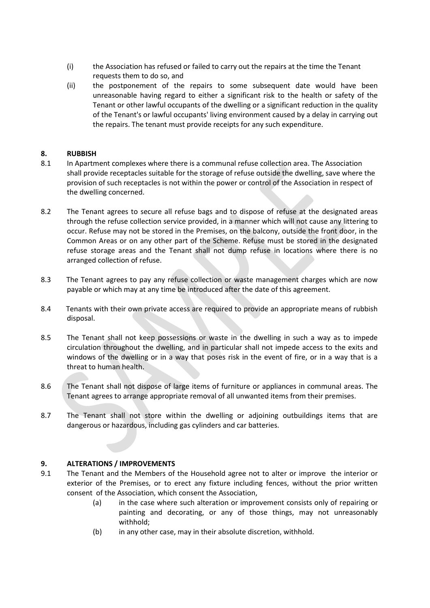- (i) the Association has refused or failed to carry out the repairs at the time the Tenant requests them to do so, and
- (ii) the postponement of the repairs to some subsequent date would have been unreasonable having regard to either a significant risk to the health or safety of the Tenant or other lawful occupants of the dwelling or a significant reduction in the quality of the Tenant's or lawful occupants' living environment caused by a delay in carrying out the repairs. The tenant must provide receipts for any such expenditure.

#### **8. RUBBISH**

- 8.1 In Apartment complexes where there is a communal refuse collection area. The Association shall provide receptacles suitable for the storage of refuse outside the dwelling, save where the provision of such receptacles is not within the power or control of the Association in respect of the dwelling concerned.
- 8.2 The Tenant agrees to secure all refuse bags and to dispose of refuse at the designated areas through the refuse collection service provided, in a manner which will not cause any littering to occur. Refuse may not be stored in the Premises, on the balcony, outside the front door, in the Common Areas or on any other part of the Scheme. Refuse must be stored in the designated refuse storage areas and the Tenant shall not dump refuse in locations where there is no arranged collection of refuse.
- 8.3 The Tenant agrees to pay any refuse collection or waste management charges which are now payable or which may at any time be introduced after the date of this agreement.
- 8.4 Tenants with their own private access are required to provide an appropriate means of rubbish disposal.
- 8.5 The Tenant shall not keep possessions or waste in the dwelling in such a way as to impede circulation throughout the dwelling, and in particular shall not impede access to the exits and windows of the dwelling or in a way that poses risk in the event of fire, or in a way that is a threat to human health.
- 8.6 The Tenant shall not dispose of large items of furniture or appliances in communal areas. The Tenant agrees to arrange appropriate removal of all unwanted items from their premises.
- 8.7 The Tenant shall not store within the dwelling or adjoining outbuildings items that are dangerous or hazardous, including gas cylinders and car batteries.

## **9. ALTERATIONS / IMPROVEMENTS**

- 9.1 The Tenant and the Members of the Household agree not to alter or improve the interior or exterior of the Premises, or to erect any fixture including fences, without the prior written consent of the Association, which consent the Association,
	- (a) in the case where such alteration or improvement consists only of repairing or painting and decorating, or any of those things, may not unreasonably withhold;
	- (b) in any other case, may in their absolute discretion, withhold.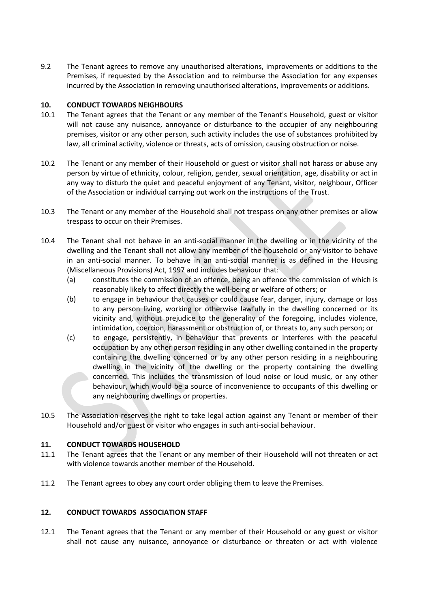9.2 The Tenant agrees to remove any unauthorised alterations, improvements or additions to the Premises, if requested by the Association and to reimburse the Association for any expenses incurred by the Association in removing unauthorised alterations, improvements or additions.

## **10. CONDUCT TOWARDS NEIGHBOURS**

- 10.1 The Tenant agrees that the Tenant or any member of the Tenant's Household, guest or visitor will not cause any nuisance, annoyance or disturbance to the occupier of any neighbouring premises, visitor or any other person, such activity includes the use of substances prohibited by law, all criminal activity, violence or threats, acts of omission, causing obstruction or noise.
- 10.2 The Tenant or any member of their Household or guest or visitor shall not harass or abuse any person by virtue of ethnicity, colour, religion, gender, sexual orientation, age, disability or act in any way to disturb the quiet and peaceful enjoyment of any Tenant, visitor, neighbour, Officer of the Association or individual carrying out work on the instructions of the Trust.
- 10.3 The Tenant or any member of the Household shall not trespass on any other premises or allow trespass to occur on their Premises.
- 10.4 The Tenant shall not behave in an anti-social manner in the dwelling or in the vicinity of the dwelling and the Tenant shall not allow any member of the household or any visitor to behave in an anti-social manner. To behave in an anti-social manner is as defined in the Housing (Miscellaneous Provisions) Act, 1997 and includes behaviour that:
	- (a) constitutes the commission of an offence, being an offence the commission of which is reasonably likely to affect directly the well-being or welfare of others; or
	- (b) to engage in behaviour that causes or could cause fear, danger, injury, damage or loss to any person living, working or otherwise lawfully in the dwelling concerned or its vicinity and, without prejudice to the generality of the foregoing, includes violence, intimidation, coercion, harassment or obstruction of, or threats to, any such person; or
	- (c) to engage, persistently, in behaviour that prevents or interferes with the peaceful occupation by any other person residing in any other dwelling contained in the property containing the dwelling concerned or by any other person residing in a neighbouring dwelling in the vicinity of the dwelling or the property containing the dwelling concerned. This includes the transmission of loud noise or loud music, or any other behaviour, which would be a source of inconvenience to occupants of this dwelling or any neighbouring dwellings or properties.
- 10.5 The Association reserves the right to take legal action against any Tenant or member of their Household and/or guest or visitor who engages in such anti-social behaviour.

#### **11. CONDUCT TOWARDS HOUSEHOLD**

- 11.1 The Tenant agrees that the Tenant or any member of their Household will not threaten or act with violence towards another member of the Household.
- 11.2 The Tenant agrees to obey any court order obliging them to leave the Premises.

#### **12. CONDUCT TOWARDS ASSOCIATION STAFF**

12.1 The Tenant agrees that the Tenant or any member of their Household or any guest or visitor shall not cause any nuisance, annoyance or disturbance or threaten or act with violence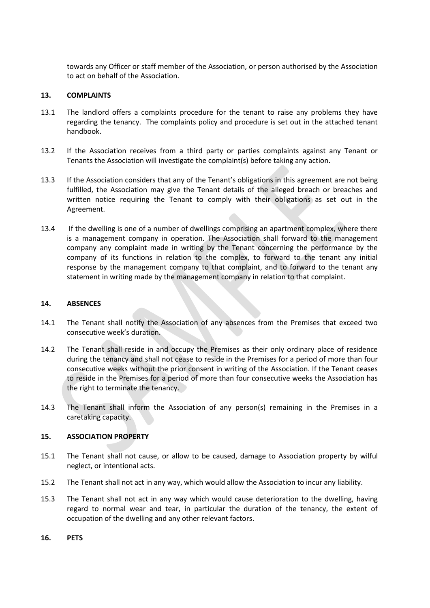towards any Officer or staff member of the Association, or person authorised by the Association to act on behalf of the Association.

#### **13. COMPLAINTS**

- 13.1 The landlord offers a complaints procedure for the tenant to raise any problems they have regarding the tenancy. The complaints policy and procedure is set out in the attached tenant handbook.
- 13.2 If the Association receives from a third party or parties complaints against any Tenant or Tenants the Association will investigate the complaint(s) before taking any action.
- 13.3 If the Association considers that any of the Tenant's obligations in this agreement are not being fulfilled, the Association may give the Tenant details of the alleged breach or breaches and written notice requiring the Tenant to comply with their obligations as set out in the Agreement.
- 13.4 If the dwelling is one of a number of dwellings comprising an apartment complex, where there is a management company in operation. The Association shall forward to the management company any complaint made in writing by the Tenant concerning the performance by the company of its functions in relation to the complex, to forward to the tenant any initial response by the management company to that complaint, and to forward to the tenant any statement in writing made by the management company in relation to that complaint.

#### **14. ABSENCES**

- 14.1 The Tenant shall notify the Association of any absences from the Premises that exceed two consecutive week's duration.
- 14.2 The Tenant shall reside in and occupy the Premises as their only ordinary place of residence during the tenancy and shall not cease to reside in the Premises for a period of more than four consecutive weeks without the prior consent in writing of the Association. If the Tenant ceases to reside in the Premises for a period of more than four consecutive weeks the Association has the right to terminate the tenancy.
- 14.3 The Tenant shall inform the Association of any person(s) remaining in the Premises in a caretaking capacity.

#### **15. ASSOCIATION PROPERTY**

- 15.1 The Tenant shall not cause, or allow to be caused, damage to Association property by wilful neglect, or intentional acts.
- 15.2 The Tenant shall not act in any way, which would allow the Association to incur any liability.
- 15.3 The Tenant shall not act in any way which would cause deterioration to the dwelling, having regard to normal wear and tear, in particular the duration of the tenancy, the extent of occupation of the dwelling and any other relevant factors.
- **16. PETS**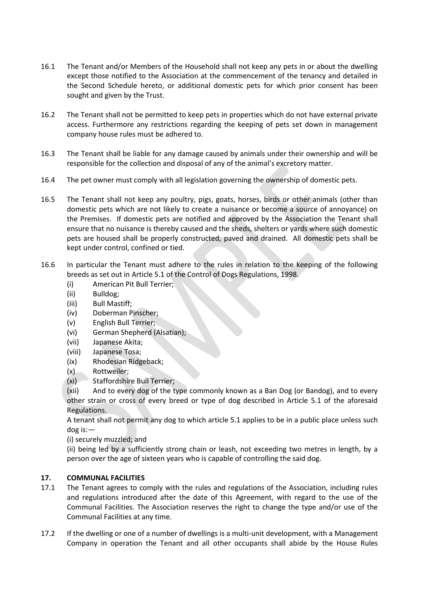- 16.1 The Tenant and/or Members of the Household shall not keep any pets in or about the dwelling except those notified to the Association at the commencement of the tenancy and detailed in the Second Schedule hereto, or additional domestic pets for which prior consent has been sought and given by the Trust.
- 16.2 The Tenant shall not be permitted to keep pets in properties which do not have external private access. Furthermore any restrictions regarding the keeping of pets set down in management company house rules must be adhered to.
- 16.3 The Tenant shall be liable for any damage caused by animals under their ownership and will be responsible for the collection and disposal of any of the animal's excretory matter.
- 16.4 The pet owner must comply with all legislation governing the ownership of domestic pets.
- 16.5 The Tenant shall not keep any poultry, pigs, goats, horses, birds or other animals (other than domestic pets which are not likely to create a nuisance or become a source of annoyance) on the Premises. If domestic pets are notified and approved by the Association the Tenant shall ensure that no nuisance is thereby caused and the sheds, shelters or yards where such domestic pets are housed shall be properly constructed, paved and drained. All domestic pets shall be kept under control, confined or tied.
- 16.6 In particular the Tenant must adhere to the rules in relation to the keeping of the following breeds as set out in Article 5.1 of the Control of Dogs Regulations, 1998.
	- (i) American Pit Bull Terrier;
	- (ii) Bulldog;
	- (iii) Bull Mastiff;
	- (iv) Doberman Pinscher;
	- (v) English Bull Terrier;
	- (vi) German Shepherd (Alsatian);
	- (vii) Japanese Akita;
	- (viii) Japanese Tosa;
	- (ix) Rhodesian Ridgeback;
	- (x) Rottweiler;
	- (xi) Staffordshire Bull Terrier;

(xii) And to every dog of the type commonly known as a Ban Dog (or Bandog), and to every other strain or cross of every breed or type of dog described in Article 5.1 of the aforesaid Regulations.

A tenant shall not permit any dog to which article 5.1 applies to be in a public place unless such dog is:—

(i) securely muzzled; and

(ii) being led by a sufficiently strong chain or leash, not exceeding two metres in length, by a person over the age of sixteen years who is capable of controlling the said dog.

#### **17. COMMUNAL FACILITIES**

- 17.1 The Tenant agrees to comply with the rules and regulations of the Association, including rules and regulations introduced after the date of this Agreement, with regard to the use of the Communal Facilities. The Association reserves the right to change the type and/or use of the Communal Facilities at any time.
- 17.2 If the dwelling or one of a number of dwellings is a multi-unit development, with a Management Company in operation the Tenant and all other occupants shall abide by the House Rules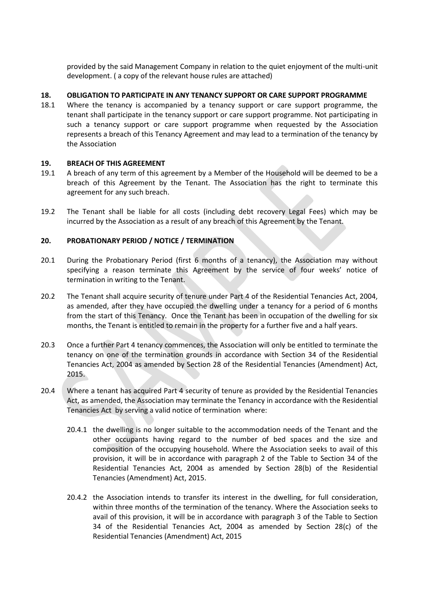provided by the said Management Company in relation to the quiet enjoyment of the multi-unit development. ( a copy of the relevant house rules are attached)

## **18. OBLIGATION TO PARTICIPATE IN ANY TENANCY SUPPORT OR CARE SUPPORT PROGRAMME**

18.1 Where the tenancy is accompanied by a tenancy support or care support programme, the tenant shall participate in the tenancy support or care support programme. Not participating in such a tenancy support or care support programme when requested by the Association represents a breach of this Tenancy Agreement and may lead to a termination of the tenancy by the Association

#### **19. BREACH OF THIS AGREEMENT**

- 19.1 A breach of any term of this agreement by a Member of the Household will be deemed to be a breach of this Agreement by the Tenant. The Association has the right to terminate this agreement for any such breach.
- 19.2 The Tenant shall be liable for all costs (including debt recovery Legal Fees) which may be incurred by the Association as a result of any breach of this Agreement by the Tenant.

## **20. PROBATIONARY PERIOD / NOTICE / TERMINATION**

- 20.1 During the Probationary Period (first 6 months of a tenancy), the Association may without specifying a reason terminate this Agreement by the service of four weeks' notice of termination in writing to the Tenant.
- 20.2 The Tenant shall acquire security of tenure under Part 4 of the Residential Tenancies Act, 2004, as amended, after they have occupied the dwelling under a tenancy for a period of 6 months from the start of this Tenancy. Once the Tenant has been in occupation of the dwelling for six months, the Tenant is entitled to remain in the property for a further five and a half years.
- 20.3 Once a further Part 4 tenancy commences, the Association will only be entitled to terminate the tenancy on one of the termination grounds in accordance with Section 34 of the Residential Tenancies Act, 2004 as amended by Section 28 of the Residential Tenancies (Amendment) Act, 2015.
- 20.4 Where a tenant has acquired Part 4 security of tenure as provided by the Residential Tenancies Act, as amended, the Association may terminate the Tenancy in accordance with the Residential Tenancies Act by serving a valid notice of termination where:
	- 20.4.1 the dwelling is no longer suitable to the accommodation needs of the Tenant and the other occupants having regard to the number of bed spaces and the size and composition of the occupying household. Where the Association seeks to avail of this provision, it will be in accordance with paragraph 2 of the Table to Section 34 of the Residential Tenancies Act, 2004 as amended by Section 28(b) of the Residential Tenancies (Amendment) Act, 2015.
	- 20.4.2 the Association intends to transfer its interest in the dwelling, for full consideration, within three months of the termination of the tenancy. Where the Association seeks to avail of this provision, it will be in accordance with paragraph 3 of the Table to Section 34 of the Residential Tenancies Act, 2004 as amended by Section 28(c) of the Residential Tenancies (Amendment) Act, 2015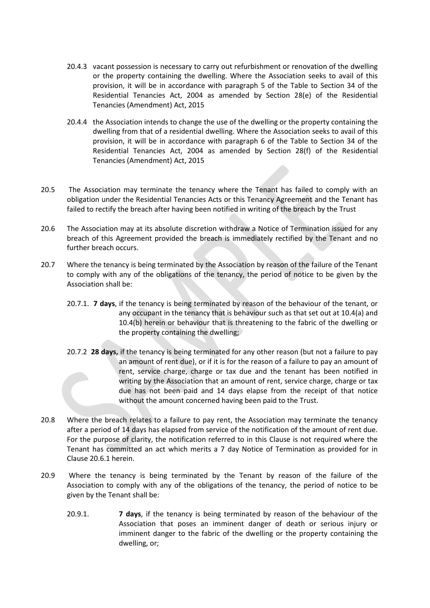- 20.4.3 vacant possession is necessary to carry out refurbishment or renovation of the dwelling or the property containing the dwelling. Where the Association seeks to avail of this provision, it will be in accordance with paragraph 5 of the Table to Section 34 of the Residential Tenancies Act, 2004 as amended by Section 28(e) of the Residential Tenancies (Amendment) Act, 2015
- 20.4.4 the Association intends to change the use of the dwelling or the property containing the dwelling from that of a residential dwelling. Where the Association seeks to avail of this provision, it will be in accordance with paragraph 6 of the Table to Section 34 of the Residential Tenancies Act, 2004 as amended by Section 28(f) of the Residential Tenancies (Amendment) Act, 2015
- 20.5 The Association may terminate the tenancy where the Tenant has failed to comply with an obligation under the Residential Tenancies Acts or this Tenancy Agreement and the Tenant has failed to rectify the breach after having been notified in writing of the breach by the Trust
- 20.6 The Association may at its absolute discretion withdraw a Notice of Termination issued for any breach of this Agreement provided the breach is immediately rectified by the Tenant and no further breach occurs.
- 20.7 Where the tenancy is being terminated by the Association by reason of the failure of the Tenant to comply with any of the obligations of the tenancy, the period of notice to be given by the Association shall be:
	- 20.7.1. **7 days**, if the tenancy is being terminated by reason of the behaviour of the tenant, or any occupant in the tenancy that is behaviour such as that set out at 10.4(a) and 10.4(b) herein or behaviour that is threatening to the fabric of the dwelling or the property containing the dwelling;
	- 20.7.2 **28 days,** if the tenancy is being terminated for any other reason (but not a failure to pay an amount of rent due), or if it is for the reason of a failure to pay an amount of rent, service charge, charge or tax due and the tenant has been notified in writing by the Association that an amount of rent, service charge, charge or tax due has not been paid and 14 days elapse from the receipt of that notice without the amount concerned having been paid to the Trust.
- 20.8 Where the breach relates to a failure to pay rent, the Association may terminate the tenancy after a period of 14 days has elapsed from service of the notification of the amount of rent due. For the purpose of clarity, the notification referred to in this Clause is not required where the Tenant has committed an act which merits a 7 day Notice of Termination as provided for in Clause 20.6.1 herein.
- 20.9 Where the tenancy is being terminated by the Tenant by reason of the failure of the Association to comply with any of the obligations of the tenancy, the period of notice to be given by the Tenant shall be:
	- 20.9.1. **7 days**, if the tenancy is being terminated by reason of the behaviour of the Association that poses an imminent danger of death or serious injury or imminent danger to the fabric of the dwelling or the property containing the dwelling, or;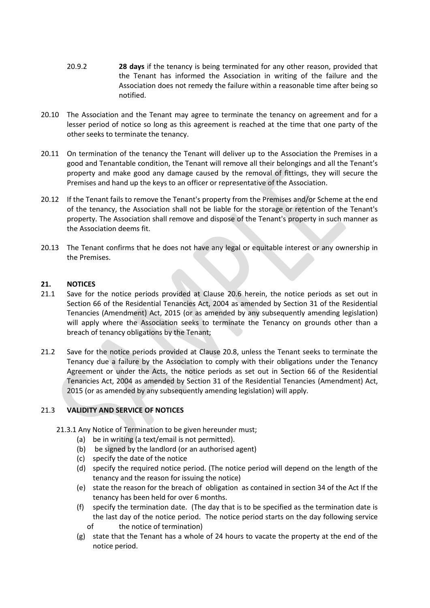- 20.9.2 **28 days** if the tenancy is being terminated for any other reason, provided that the Tenant has informed the Association in writing of the failure and the Association does not remedy the failure within a reasonable time after being so notified.
- 20.10 The Association and the Tenant may agree to terminate the tenancy on agreement and for a lesser period of notice so long as this agreement is reached at the time that one party of the other seeks to terminate the tenancy.
- 20.11 On termination of the tenancy the Tenant will deliver up to the Association the Premises in a good and Tenantable condition, the Tenant will remove all their belongings and all the Tenant's property and make good any damage caused by the removal of fittings, they will secure the Premises and hand up the keys to an officer or representative of the Association.
- 20.12 If the Tenant fails to remove the Tenant's property from the Premises and/or Scheme at the end of the tenancy, the Association shall not be liable for the storage or retention of the Tenant's property. The Association shall remove and dispose of the Tenant's property in such manner as the Association deems fit.
- 20.13 The Tenant confirms that he does not have any legal or equitable interest or any ownership in the Premises.

## **21. NOTICES**

- 21.1 Save for the notice periods provided at Clause 20.6 herein, the notice periods as set out in Section 66 of the Residential Tenancies Act, 2004 as amended by Section 31 of the Residential Tenancies (Amendment) Act, 2015 (or as amended by any subsequently amending legislation) will apply where the Association seeks to terminate the Tenancy on grounds other than a breach of tenancy obligations by the Tenant;
- 21.2 Save for the notice periods provided at Clause 20.8, unless the Tenant seeks to terminate the Tenancy due a failure by the Association to comply with their obligations under the Tenancy Agreement or under the Acts, the notice periods as set out in Section 66 of the Residential Tenancies Act, 2004 as amended by Section 31 of the Residential Tenancies (Amendment) Act, 2015 (or as amended by any subsequently amending legislation) will apply.

#### 21.3 **VALIDITY AND SERVICE OF NOTICES**

- 21.3.1 Any Notice of Termination to be given hereunder must;
	- (a) be in writing (a text/email is not permitted).
	- (b) be signed by the landlord (or an authorised agent)
	- (c) specify the date of the notice
	- (d) specify the required notice period. (The notice period will depend on the length of the tenancy and the reason for issuing the notice)
	- (e) state the reason for the breach of obligation as contained in section 34 of the Act If the tenancy has been held for over 6 months.
	- (f) specify the termination date. (The day that is to be specified as the termination date is the last day of the notice period. The notice period starts on the day following service of the notice of termination)
	- (g) state that the Tenant has a whole of 24 hours to vacate the property at the end of the notice period.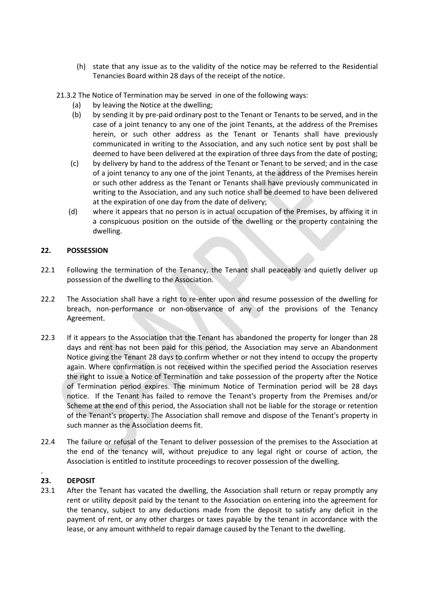(h) state that any issue as to the validity of the notice may be referred to the Residential Tenancies Board within 28 days of the receipt of the notice.

21.3.2 The Notice of Termination may be served in one of the following ways:

- (a) by leaving the Notice at the dwelling;
- (b) by sending it by pre-paid ordinary post to the Tenant or Tenants to be served, and in the case of a joint tenancy to any one of the joint Tenants, at the address of the Premises herein, or such other address as the Tenant or Tenants shall have previously communicated in writing to the Association, and any such notice sent by post shall be deemed to have been delivered at the expiration of three days from the date of posting;
- (c) by delivery by hand to the address of the Tenant or Tenant to be served; and in the case of a joint tenancy to any one of the joint Tenants, at the address of the Premises herein or such other address as the Tenant or Tenants shall have previously communicated in writing to the Association, and any such notice shall be deemed to have been delivered at the expiration of one day from the date of delivery;
- (d) where it appears that no person is in actual occupation of the Premises, by affixing it in a conspicuous position on the outside of the dwelling or the property containing the dwelling.

## **22. POSSESSION**

- 22.1 Following the termination of the Tenancy, the Tenant shall peaceably and quietly deliver up possession of the dwelling to the Association.
- 22.2 The Association shall have a right to re-enter upon and resume possession of the dwelling for breach, non-performance or non-observance of any of the provisions of the Tenancy Agreement.
- 22.3 If it appears to the Association that the Tenant has abandoned the property for longer than 28 days and rent has not been paid for this period, the Association may serve an Abandonment Notice giving the Tenant 28 days to confirm whether or not they intend to occupy the property again. Where confirmation is not received within the specified period the Association reserves the right to issue a Notice of Termination and take possession of the property after the Notice of Termination period expires. The minimum Notice of Termination period will be 28 days notice. If the Tenant has failed to remove the Tenant's property from the Premises and/or Scheme at the end of this period, the Association shall not be liable for the storage or retention of the Tenant's property. The Association shall remove and dispose of the Tenant's property in such manner as the Association deems fit.
- 22.4 The failure or refusal of the Tenant to deliver possession of the premises to the Association at the end of the tenancy will, without prejudice to any legal right or course of action, the Association is entitled to institute proceedings to recover possession of the dwelling.

#### **23. DEPOSIT**

.

23.1 After the Tenant has vacated the dwelling, the Association shall return or repay promptly any rent or utility deposit paid by the tenant to the Association on entering into the agreement for the tenancy, subject to any deductions made from the deposit to satisfy any deficit in the payment of rent, or any other charges or taxes payable by the tenant in accordance with the lease, or any amount withheld to repair damage caused by the Tenant to the dwelling.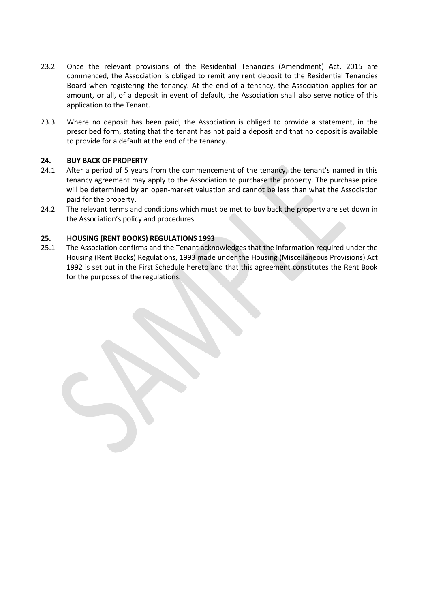- 23.2 Once the relevant provisions of the Residential Tenancies (Amendment) Act, 2015 are commenced, the Association is obliged to remit any rent deposit to the Residential Tenancies Board when registering the tenancy. At the end of a tenancy, the Association applies for an amount, or all, of a deposit in event of default, the Association shall also serve notice of this application to the Tenant.
- 23.3 Where no deposit has been paid, the Association is obliged to provide a statement, in the prescribed form, stating that the tenant has not paid a deposit and that no deposit is available to provide for a default at the end of the tenancy.

## **24. BUY BACK OF PROPERTY**

- 24.1 After a period of 5 years from the commencement of the tenancy, the tenant's named in this tenancy agreement may apply to the Association to purchase the property. The purchase price will be determined by an open-market valuation and cannot be less than what the Association paid for the property.
- 24.2 The relevant terms and conditions which must be met to buy back the property are set down in the Association's policy and procedures.

## **25. HOUSING (RENT BOOKS) REGULATIONS 1993**

25.1 The Association confirms and the Tenant acknowledges that the information required under the Housing (Rent Books) Regulations, 1993 made under the Housing (Miscellaneous Provisions) Act 1992 is set out in the First Schedule hereto and that this agreement constitutes the Rent Book for the purposes of the regulations.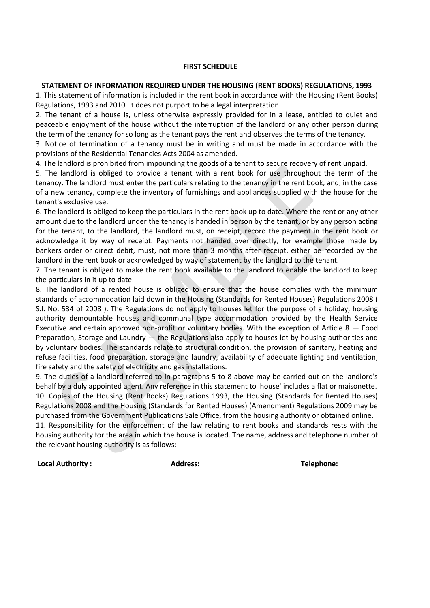#### **FIRST SCHEDULE**

#### **STATEMENT OF INFORMATION REQUIRED UNDER THE HOUSING (RENT BOOKS) REGULATIONS, 1993**

1. This statement of information is included in the rent book in accordance with the Housing (Rent Books) Regulations, 1993 and 2010. It does not purport to be a legal interpretation.

2. The tenant of a house is, unless otherwise expressly provided for in a lease, entitled to quiet and peaceable enjoyment of the house without the interruption of the landlord or any other person during the term of the tenancy for so long as the tenant pays the rent and observes the terms of the tenancy.

3. Notice of termination of a tenancy must be in writing and must be made in accordance with the provisions of the Residential Tenancies Acts 2004 as amended.

4. The landlord is prohibited from impounding the goods of a tenant to secure recovery of rent unpaid.

5. The landlord is obliged to provide a tenant with a rent book for use throughout the term of the tenancy. The landlord must enter the particulars relating to the tenancy in the rent book, and, in the case of a new tenancy, complete the inventory of furnishings and appliances supplied with the house for the tenant's exclusive use.

6. The landlord is obliged to keep the particulars in the rent book up to date. Where the rent or any other amount due to the landlord under the tenancy is handed in person by the tenant, or by any person acting for the tenant, to the landlord, the landlord must, on receipt, record the payment in the rent book or acknowledge it by way of receipt. Payments not handed over directly, for example those made by bankers order or direct debit, must, not more than 3 months after receipt, either be recorded by the landlord in the rent book or acknowledged by way of statement by the landlord to the tenant.

7. The tenant is obliged to make the rent book available to the landlord to enable the landlord to keep the particulars in it up to date.

8. The landlord of a rented house is obliged to ensure that the house complies with the minimum standards of accommodation laid down in the Housing (Standards for Rented Houses) Regulations 2008 ( [S.I. No. 534 of 2008](http://www.irishstatutebook.ie/2008/en/si/0534.html) ). The Regulations do not apply to houses let for the purpose of a holiday, housing authority demountable houses and communal type accommodation provided by the Health Service Executive and certain approved non-profit or voluntary bodies. With the exception of Article  $8 -$  Food Preparation, Storage and Laundry — the Regulations also apply to houses let by housing authorities and by voluntary bodies. The standards relate to structural condition, the provision of sanitary, heating and refuse facilities, food preparation, storage and laundry, availability of adequate lighting and ventilation, fire safety and the safety of electricity and gas installations.

9. The duties of a landlord referred to in paragraphs 5 to 8 above may be carried out on the landlord's behalf by a duly appointed agent. Any reference in this statement to 'house' includes a flat or maisonette. 10. Copies of the Housing (Rent Books) Regulations 1993, the Housing (Standards for Rented Houses) Regulations 2008 and the Housing (Standards for Rented Houses) (Amendment) Regulations 2009 may be purchased from the Government Publications Sale Office, from the housing authority or obtained online. 11. Responsibility for the enforcement of the law relating to rent books and standards rests with the

housing authority for the area in which the house is located. The name, address and telephone number of the relevant housing authority is as follows:

**Local Authority : Address: Telephone:**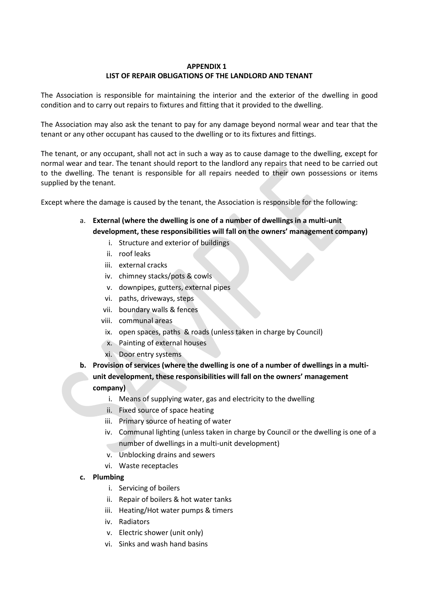## **APPENDIX 1 LIST OF REPAIR OBLIGATIONS OF THE LANDLORD AND TENANT**

The Association is responsible for maintaining the interior and the exterior of the dwelling in good condition and to carry out repairs to fixtures and fitting that it provided to the dwelling.

The Association may also ask the tenant to pay for any damage beyond normal wear and tear that the tenant or any other occupant has caused to the dwelling or to its fixtures and fittings.

The tenant, or any occupant, shall not act in such a way as to cause damage to the dwelling, except for normal wear and tear. The tenant should report to the landlord any repairs that need to be carried out to the dwelling. The tenant is responsible for all repairs needed to their own possessions or items supplied by the tenant.

Except where the damage is caused by the tenant, the Association is responsible for the following:

- a. **External (where the dwelling is one of a number of dwellings in a multi-unit development, these responsibilities will fall on the owners' management company)**
	- i. Structure and exterior of buildings
	- ii. roof leaks
	- iii. external cracks
	- iv. chimney stacks/pots & cowls
	- v. downpipes, gutters, external pipes
	- vi. paths, driveways, steps
	- vii. boundary walls & fences
	- viii. communal areas
	- ix. open spaces, paths & roads (unless taken in charge by Council)
	- x. Painting of external houses
	- xi. Door entry systems
- **b. Provision of services (where the dwelling is one of a number of dwellings in a multiunit development, these responsibilities will fall on the owners' management company)**
	- i. Means of supplying water, gas and electricity to the dwelling
	- ii. Fixed source of space heating
	- iii. Primary source of heating of water
	- iv. Communal lighting (unless taken in charge by Council or the dwelling is one of a number of dwellings in a multi-unit development)
	- v. Unblocking drains and sewers
	- vi. Waste receptacles
- **c. Plumbing**
	- i. Servicing of boilers
	- ii. Repair of boilers & hot water tanks
	- iii. Heating/Hot water pumps & timers
	- iv. Radiators
	- v. Electric shower (unit only)
	- vi. Sinks and wash hand basins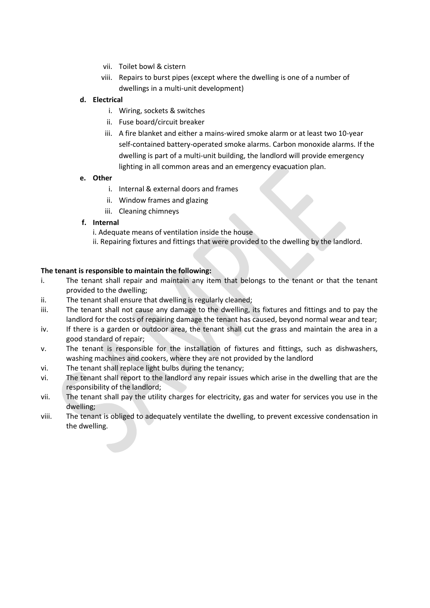- vii. Toilet bowl & cistern
- viii. Repairs to burst pipes (except where the dwelling is one of a number of dwellings in a multi-unit development)

## **d. Electrical**

- i. Wiring, sockets & switches
- ii. Fuse board/circuit breaker
- iii. A fire blanket and either a mains-wired smoke alarm or at least two 10-year self-contained battery-operated smoke alarms. Carbon monoxide alarms. If the dwelling is part of a multi-unit building, the landlord will provide emergency lighting in all common areas and an emergency evacuation plan.

## **e. Other**

- i. Internal & external doors and frames
- ii. Window frames and glazing
- iii. Cleaning chimneys

## **f. Internal**

i. Adequate means of ventilation inside the house

ii. Repairing fixtures and fittings that were provided to the dwelling by the landlord.

## **The tenant is responsible to maintain the following:**

- i. The tenant shall repair and maintain any item that belongs to the tenant or that the tenant provided to the dwelling;
- ii. The tenant shall ensure that dwelling is regularly cleaned;
- iii. The tenant shall not cause any damage to the dwelling, its fixtures and fittings and to pay the landlord for the costs of repairing damage the tenant has caused, beyond normal wear and tear;
- iv. If there is a garden or outdoor area, the tenant shall cut the grass and maintain the area in a good standard of repair;
- v. The tenant is responsible for the installation of fixtures and fittings, such as dishwashers, washing machines and cookers, where they are not provided by the landlord
- vi. The tenant shall replace light bulbs during the tenancy;
- vi. The tenant shall report to the landlord any repair issues which arise in the dwelling that are the responsibility of the landlord;
- vii. The tenant shall pay the utility charges for electricity, gas and water for services you use in the dwelling;
- viii. The tenant is obliged to adequately ventilate the dwelling, to prevent excessive condensation in the dwelling.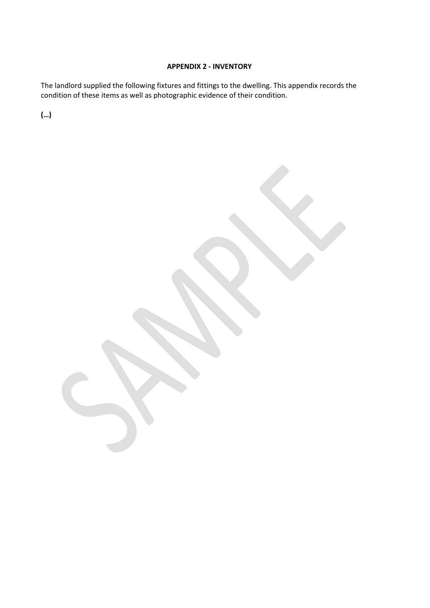## **APPENDIX 2 - INVENTORY**

The landlord supplied the following fixtures and fittings to the dwelling. This appendix records the condition of these items as well as photographic evidence of their condition.

**(…)**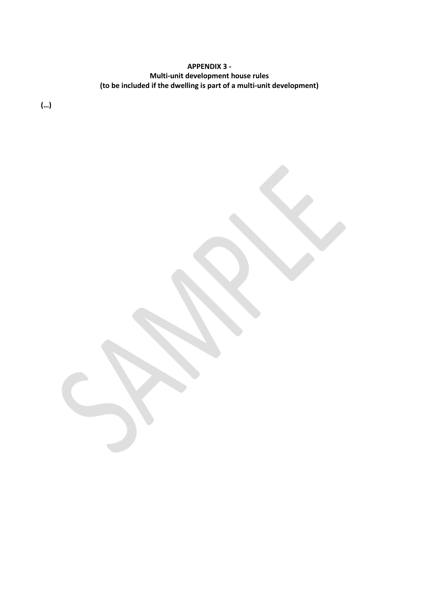# **APPENDIX 3 - Multi-unit development house rules (to be included if the dwelling is part of a multi-unit development)**

**(…)**